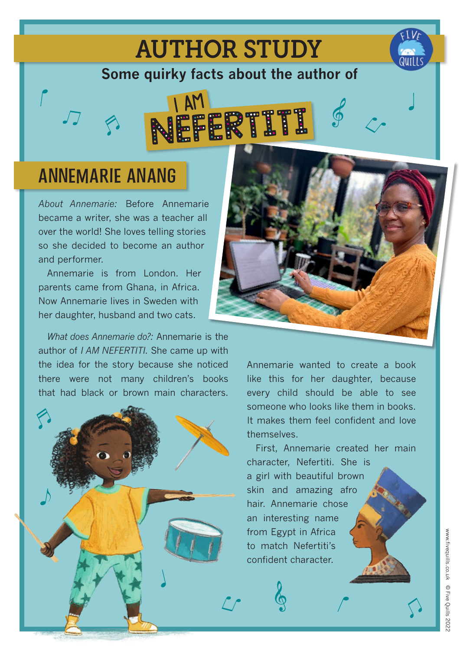## AUTHOR STUDY

**Some quirky facts about the author of**



## **ANNEMARIE ANANG**

*About Annemarie:* Before Annemarie became a writer, she was a teacher all over the world! She loves telling stories so she decided to become an author and performer.

Annemarie is from London. Her parents came from Ghana, in Africa. Now Annemarie lives in Sweden with her daughter, husband and two cats.

*What does Annemarie do?:* Annemarie is the author of *I AM NEFERTITI*. She came up with the idea for the story because she noticed there were not many children's books that had black or brown main characters.





Annemarie wanted to create a book like this for her daughter, because every child should be able to see someone who looks like them in books. It makes them feel confident and love **themselves** 

First, Annemarie created her main character, Nefertiti. She is a girl with beautiful brown skin and amazing afro hair. Annemarie chose an interesting name from Egypt in Africa to match Nefertiti's confident character.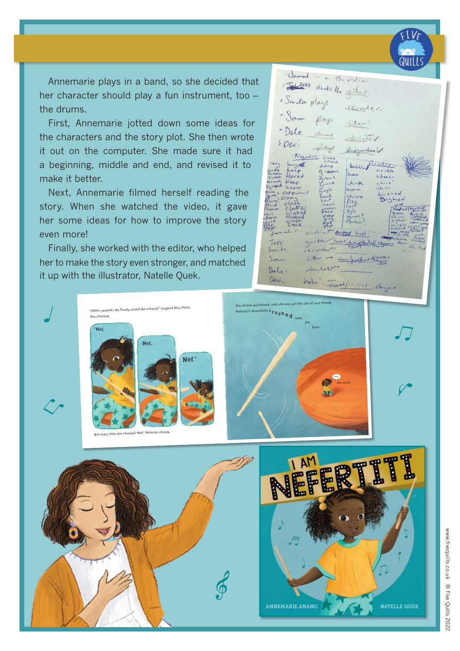

Annemarie plays in a band, so she decided that her character should play a fun instrument, too – the drums.

First, Annemarie jotted down some ideas for the characters and the story plot. She then wrote it out on the computer. She made sure it had a beginning, middle and end, and revised it to make it better.

Next, Annemarie filmed herself reading the story. When she watched the video, it gave her some ideas for how to improve the story even more!

Finally, she worked with the editor, who helped her to make the story even stronger, and matched it up with the illustrator, Natelle Quek.

solid like your great speech bubbles you supplied please. This will help draw the eye directly to the shrinking action.

Banal : " the risting Estes plucks the gittar « Suita plays recorder "Sam plays sitar? "Dele ukuleter FDev: day didgendos  $b$ chine Jes  $S$ con to San Cheer/and heat Dele I hope you don't mind but we've had a look and think this orange Dev  $W\circ l!r$ ,  $\frac{1}{\sqrt{2\pi}}$  is most it is it is starting that